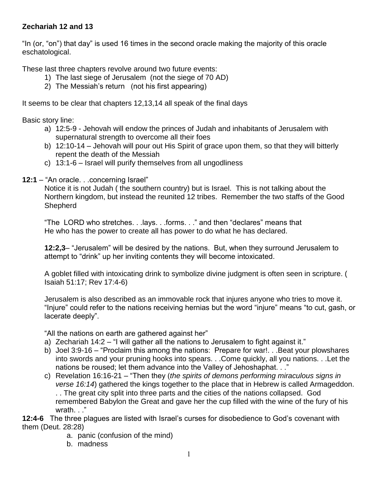## **Zechariah 12 and 13**

"In (or, "on") that day" is used 16 times in the second oracle making the majority of this oracle eschatological.

These last three chapters revolve around two future events:

- 1) The last siege of Jerusalem (not the siege of 70 AD)
- 2) The Messiah's return (not his first appearing)

It seems to be clear that chapters 12,13,14 all speak of the final days

Basic story line:

- a) 12:5-9 Jehovah will endow the princes of Judah and inhabitants of Jerusalem with supernatural strength to overcome all their foes
- b) 12:10-14 Jehovah will pour out His Spirit of grace upon them, so that they will bitterly repent the death of the Messiah
- c) 13:1-6 Israel will purify themselves from all ungodliness

**12:1** – "An oracle. . .concerning Israel"

Notice it is not Judah ( the southern country) but is Israel. This is not talking about the Northern kingdom, but instead the reunited 12 tribes. Remember the two staffs of the Good **Shepherd** 

"The LORD who stretches. . .lays. . .forms. . ." and then "declares" means that He who has the power to create all has power to do what he has declared.

**12:2,3**– "Jerusalem" will be desired by the nations. But, when they surround Jerusalem to attempt to "drink" up her inviting contents they will become intoxicated.

A goblet filled with intoxicating drink to symbolize divine judgment is often seen in scripture. ( Isaiah 51:17; Rev 17:4-6)

Jerusalem is also described as an immovable rock that injures anyone who tries to move it. "Injure" could refer to the nations receiving hernias but the word "injure" means "to cut, gash, or lacerate deeply".

"All the nations on earth are gathered against her"

- a) Zechariah 14:2 "I will gather all the nations to Jerusalem to fight against it."
- b) Joel 3:9-16 "Proclaim this among the nations: Prepare for war!. . .Beat your plowshares into swords and your pruning hooks into spears. . .Come quickly, all you nations. . .Let the nations be roused; let them advance into the Valley of Jehoshaphat. . ."
- c) Revelation 16:16-21 "Then they (*the spirits of demons performing miraculous signs in verse 16:14*) gathered the kings together to the place that in Hebrew is called Armageddon. . . The great city split into three parts and the cities of the nations collapsed. God remembered Babylon the Great and gave her the cup filled with the wine of the fury of his wrath. . ."

**12:4-6** The three plagues are listed with Israel's curses for disobedience to God's covenant with them (Deut. 28:28)

- a. panic (confusion of the mind)
- b. madness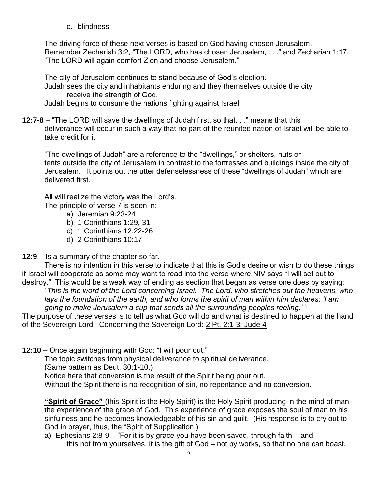c. blindness

The driving force of these next verses is based on God having chosen Jerusalem. Remember Zechariah 3:2, "The LORD, who has chosen Jerusalem, . . ." and Zechariah 1:17, "The LORD will again comfort Zion and choose Jerusalem."

The city of Jerusalem continues to stand because of God's election. Judah sees the city and inhabitants enduring and they themselves outside the city

receive the strength of God. Judah begins to consume the nations fighting against Israel.

**12:7-8** – "The LORD will save the dwellings of Judah first, so that. . ." means that this deliverance will occur in such a way that no part of the reunited nation of Israel will be able to take credit for it

"The dwellings of Judah" are a reference to the "dwellings," or shelters, huts or tents outside the city of Jerusalem in contrast to the fortresses and buildings inside the city of Jerusalem. It points out the utter defenselessness of these "dwellings of Judah" which are delivered first.

All will realize the victory was the Lord's.

The principle of verse 7 is seen in:

- a) Jeremiah 9:23-24
- b) 1 Corinthians 1:29, 31
- c) 1 Corinthians 12:22-26
- d) 2 Corinthians 10:17

**12:9** – Is a summary of the chapter so far.

There is no intention in this verse to indicate that this is God's desire or wish to do these things if Israel will cooperate as some may want to read into the verse where NIV says "I will set out to destroy." This would be a weak way of ending as section that began as verse one does by saying:

*"This is the word of the Lord concerning Israel. The Lord, who stretches out the heavens, who lays the foundation of the earth, and who forms the spirit of man within him declares: 'I am going to make Jerusalem a cup that sends all the surrounding peoples reeling.' "*

The purpose of these verses is to tell us what God will do and what is destined to happen at the hand of the Sovereign Lord. Concerning the Sovereign Lord: 2 Pt. 2:1-3; Jude 4

**12:10** – Once again beginning with God: "I will pour out."

The topic switches from physical deliverance to spiritual deliverance.

(Same pattern as Deut. 30:1-10.)

Notice here that conversion is the result of the Spirit being pour out.

Without the Spirit there is no recognition of sin, no repentance and no conversion.

**"Spirit of Grace"** (this Spirit is the Holy Spirit) is the Holy Spirit producing in the mind of man the experience of the grace of God. This experience of grace exposes the soul of man to his sinfulness and he becomes knowledgeable of his sin and guilt. (His response is to cry out to God in prayer, thus, the "Spirit of Supplication.)

a) Ephesians 2:8-9 – "For it is by grace you have been saved, through faith – and this not from yourselves, it is the gift of God – not by works, so that no one can boast.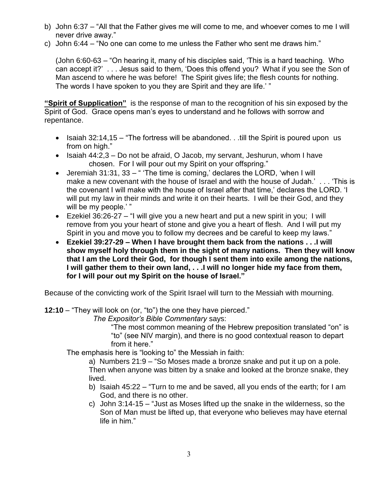- b) John 6:37 "All that the Father gives me will come to me, and whoever comes to me I will never drive away."
- c) John 6:44 "No one can come to me unless the Father who sent me draws him."

(John 6:60-63 – "On hearing it, many of his disciples said, 'This is a hard teaching. Who can accept it?' . . . Jesus said to them, 'Does this offend you? What if you see the Son of Man ascend to where he was before! The Spirit gives life; the flesh counts for nothing. The words I have spoken to you they are Spirit and they are life.' "

**"Spirit of Supplication"** is the response of man to the recognition of his sin exposed by the Spirit of God. Grace opens man's eyes to understand and he follows with sorrow and repentance.

- Isaiah 32:14,15 "The fortress will be abandoned. . .till the Spirit is poured upon us from on high."
- $\bullet$  Isaiah 44:2,3 Do not be afraid, O Jacob, my servant, Jeshurun, whom I have chosen. For I will pour out my Spirit on your offspring."
- Jeremiah 31:31, 33 " 'The time is coming,' declares the LORD, 'when I will make a new covenant with the house of Israel and with the house of Judah.' . . . 'This is the covenant I will make with the house of Israel after that time,' declares the LORD. 'I will put my law in their minds and write it on their hearts. I will be their God, and they will be my people.' "
- Ezekiel  $36:26-27 -$  "I will give you a new heart and put a new spirit in you; I will remove from you your heart of stone and give you a heart of flesh. And I will put my Spirit in you and move you to follow my decrees and be careful to keep my laws."
- **Ezekiel 39:27-29 – When I have brought them back from the nations . . .I will show myself holy through them in the sight of many nations. Then they will know that I am the Lord their God, for though I sent them into exile among the nations, I will gather them to their own land, . . .I will no longer hide my face from them, for I will pour out my Spirit on the house of Israel."**

Because of the convicting work of the Spirit Israel will turn to the Messiah with mourning.

**12:10** – "They will look on (or, "to") the one they have pierced."

*The Expositor's Bible Commentary* says:

"The most common meaning of the Hebrew preposition translated "on" is "to" (see NIV margin), and there is no good contextual reason to depart from it here."

The emphasis here is "looking to" the Messiah in faith:

a) Numbers 21:9 – "So Moses made a bronze snake and put it up on a pole. Then when anyone was bitten by a snake and looked at the bronze snake, they lived.

- b) Isaiah 45:22 "Turn to me and be saved, all you ends of the earth; for I am God, and there is no other.
- c) John 3:14-15 "Just as Moses lifted up the snake in the wilderness, so the Son of Man must be lifted up, that everyone who believes may have eternal life in him."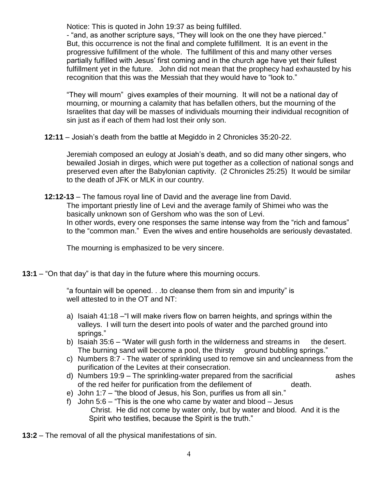Notice: This is quoted in John 19:37 as being fulfilled.

- "and, as another scripture says, "They will look on the one they have pierced." But, this occurrence is not the final and complete fulfillment. It is an event in the progressive fulfillment of the whole. The fulfillment of this and many other verses partially fulfilled with Jesus' first coming and in the church age have yet their fullest fulfillment yet in the future. John did not mean that the prophecy had exhausted by his recognition that this was the Messiah that they would have to "look to."

"They will mourn" gives examples of their mourning. It will not be a national day of mourning, or mourning a calamity that has befallen others, but the mourning of the Israelites that day will be masses of individuals mourning their individual recognition of sin just as if each of them had lost their only son.

**12:11** – Josiah's death from the battle at Megiddo in 2 Chronicles 35:20-22.

Jeremiah composed an eulogy at Josiah's death, and so did many other singers, who bewailed Josiah in dirges, which were put together as a collection of national songs and preserved even after the Babylonian captivity. (2 Chronicles 25:25) It would be similar to the death of JFK or MLK in our country.

**12:12-13** – The famous royal line of David and the average line from David. The important priestly line of Levi and the average family of Shimei who was the basically unknown son of Gershom who was the son of Levi. In other words, every one responses the same intense way from the "rich and famous" to the "common man." Even the wives and entire households are seriously devastated.

The mourning is emphasized to be very sincere.

**13:1** – "On that day" is that day in the future where this mourning occurs.

"a fountain will be opened. . .to cleanse them from sin and impurity" is well attested to in the OT and NT:

- a) Isaiah 41:18 –"I will make rivers flow on barren heights, and springs within the valleys. I will turn the desert into pools of water and the parched ground into springs."
- b) Isaiah 35:6 "Water will gush forth in the wilderness and streams in the desert. The burning sand will become a pool, the thirsty ground bubbling springs."
- c) Numbers 8:7 The water of sprinkling used to remove sin and uncleanness from the purification of the Levites at their consecration.
- d) Numbers 19:9 The sprinkling-water prepared from the sacrificial ashes of the red heifer for purification from the defilement of death.
- e) John 1:7 "the blood of Jesus, his Son, purifies us from all sin."
- f) John 5:6 "This is the one who came by water and blood Jesus Christ. He did not come by water only, but by water and blood. And it is the Spirit who testifies, because the Spirit is the truth."

**13:2** – The removal of all the physical manifestations of sin.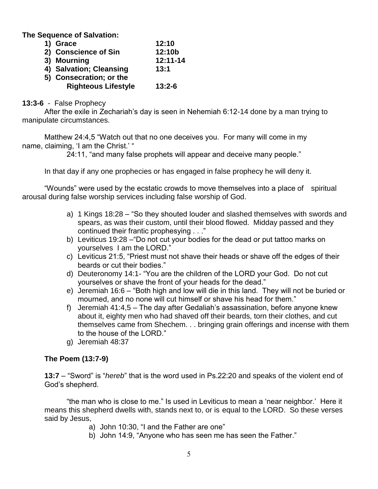**The Sequence of Salvation:**

| 1) Grace                   | 12:10      |
|----------------------------|------------|
| 2) Conscience of Sin       | 12:10b     |
| 3) Mourning                | 12:11-14   |
| 4) Salvation; Cleansing    | 13:1       |
| 5) Consecration; or the    |            |
| <b>Righteous Lifestyle</b> | $13:2 - 6$ |
|                            |            |

## **13:3-6** - False Prophecy

After the exile in Zechariah's day is seen in Nehemiah 6:12-14 done by a man trying to manipulate circumstances.

Matthew 24:4,5 "Watch out that no one deceives you. For many will come in my name, claiming, 'I am the Christ.' "

24:11, "and many false prophets will appear and deceive many people."

In that day if any one prophecies or has engaged in false prophecy he will deny it.

"Wounds" were used by the ecstatic crowds to move themselves into a place of spiritual arousal during false worship services including false worship of God.

- a) 1 Kings 18:28 "So they shouted louder and slashed themselves with swords and spears, as was their custom, until their blood flowed. Midday passed and they continued their frantic prophesying . . ."
- b) Leviticus 19:28 –"Do not cut your bodies for the dead or put tattoo marks on yourselves I am the LORD."
- c) Leviticus 21:5, "Priest must not shave their heads or shave off the edges of their beards or cut their bodies."
- d) Deuteronomy 14:1- "You are the children of the LORD your God. Do not cut yourselves or shave the front of your heads for the dead."
- e) Jeremiah 16:6 "Both high and low will die in this land. They will not be buried or mourned, and no none will cut himself or shave his head for them."
- f) Jeremiah 41:4,5 The day after Gedaliah's assassination, before anyone knew about it, eighty men who had shaved off their beards, torn their clothes, and cut themselves came from Shechem. . . bringing grain offerings and incense with them to the house of the LORD."
- g) Jeremiah 48:37

## **The Poem (13:7-9)**

**13:7** – "Sword" is "*hereb*" that is the word used in Ps.22:20 and speaks of the violent end of God's shepherd.

"the man who is close to me." Is used in Leviticus to mean a 'near neighbor.' Here it means this shepherd dwells with, stands next to, or is equal to the LORD. So these verses said by Jesus,

- a) John 10:30, "I and the Father are one"
- b) John 14:9, "Anyone who has seen me has seen the Father."